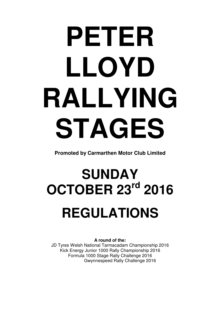# **PETER LLOYD RALLYING STAGES**

**Promoted by Carmarthen Motor Club Limited**

# **SUNDAY OCTOBER 23rd 2016 REGULATIONS**

**A round of the:** 

JD Tyres Welsh National Tarmacadam Championship 2016 Kick Energy Junior 1000 Rally Championship 2016 Formula 1000 Stage Rally Challenge 2016 Gwynnespeed Rally Challenge 2016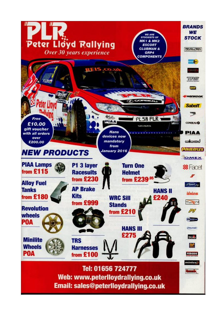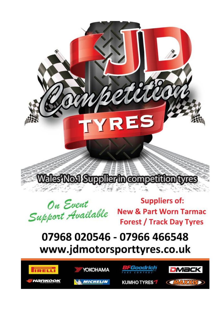Wales'No.1 Suppliertncompetitiontyres

'YRES

On Event Support Available

**Suppliers of: New & Part Worn Tarmac Forest / Track Day Tyres** 

 $2000$ 

## 07968 020546 - 07966 466548 www.jdmotorsporttyres.co.uk

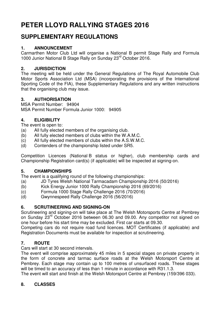### **PETER LLOYD RALLYING STAGES 2016**

#### **SUPPLEMENTARY REGULATIONS**

#### **1. ANNOUNCEMENT**

Carmarthen Motor Club Ltd will organise a National B permit Stage Rally and Formula 1000 Junior National B Stage Rally on Sunday 23rd October 2016.

#### **2. JURISDICTION**

The meeting will be held under the General Regulations of The Royal Automobile Club Motor Sports Association Ltd (MSA) (incorporating the provisions of the International Sporting Code of the FIA), these Supplementary Regulations and any written instructions that the organising club may issue.

#### **3. AUTHORISATION**

MSA Permit Number: 94904 MSA Permit Number Formula Junior 1000: 94905

#### **4. ELIGIBILITY**

The event is open to:

- (a) All fully elected members of the organising club.
- (b) All fully elected members of clubs within the W.A.M.C.
- (c) All fully elected members of clubs within the A.S.W.M.C.
- (d) Contenders of the championship listed under SR5.

Competition Licences (National B status or higher), club membership cards and Championship Registration card(s) (if applicable) will be inspected at signing-on.

#### **5. CHAMPIONSHIPS**

The event is a qualifying round of the following championships:

- (a) JD Tyres Welsh National Tarmacadam Championship 2016 (50/2016)
- (b) Kick Energy Junior 1000 Rally Championship 2016 (69/2016)
- (c) Formula 1000 Stage Rally Challenge 2016 (70/2016)
- (d) Gwynnespeed Rally Challenge 2016 (56/2016)

#### **6. SCRUTINEERING AND SIGNING-ON**

Scrutineering and signing-on will take place at The Welsh Motorsports Centre at Pembrey on Sunday 23<sup>rd</sup> October 2016 between 06.30 and 09.00. Any competitor not signed on one hour before his start time may be excluded. First car starts at 09.30.

Competing cars do not require road fund licences. MOT Certificates (if applicable) and Registration Documents must be available for inspection at scrutineering.

#### **7. ROUTE**

Cars will start at 30 second intervals.

The event will comprise approximately 45 miles in 5 special stages on private property in the form of concrete and tarmac surface roads at the Welsh Motorsport Centre at Pembrey. Each stage may contain up to 100 metres of unsurfaced roads. These stages will be timed to an accuracy of less than 1 minute in accordance with R31.1.3.

The event will start and finish at the Welsh Motorsport Centre at Pembrey (159/396 033).

#### **8. CLASSES**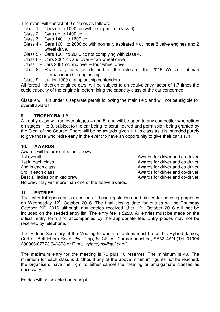The event will consist of 9 classes as follows:

- Class 1 Cars up to 1000 cc (with exception of class 9)
- Class 2 Cars up to 1400 cc
- Class 3 Cars 1401 to 1600 cc.
- Class 4 Cars 1601 to 2000 cc with normally aspirated 4 cylinder 8 valve engines and 2 wheel drive.
- Class 5 Cars 1601 to 2000 cc not complying with class 4.
- Class 6 Cars 2001 cc and over two wheel drive
- Class 7 Cars 2001 cc and over four wheel drive
- Class 8 Road rally cars as defined in the rules of the 2016 Welsh Clubman Tarmacadam Championship.
- Class 9 Junior 1000 championship contenders

All forced induction engined cars, will be subject to an equivalency factor of 1.7 times the cubic capacity of the engine in determining the capacity class of the car concerned.

Class 9 will run under a separate permit following the main field and will not be eligible for overall awards.

#### **9. TROPHY RALLY**

A trophy class will run over stages 4 and 5, and will be open to any competitor who retires on stages 1 to 3, subject to the car being re-scrutineered and permission being granted by the Clerk of the Course. There will be no awards given in this class as it is intended purely to give those who retire early in the event to have an opportunity to give their car a run.

#### **10. AWARDS**

Awards will be presented as follows: 1st overall **1st overall** Awards for driver and co-driver 1st in each class **Awards** for driver and co-driver 2nd in each class **Awards** for driver and co-driver 3rd in each class **Awards** for driver and co-driver Best all ladies or mixed crew extending the state of the Awards for driver and co-driver No crew may win more than one of the above awards.

#### **11. ENTRIES**

The entry list opens on publication of these regulations and closes for seeding purposes on Wednesday 12<sup>th</sup> October 2016. The final closing date for entries will be Thursday October  $20^{th}$  2016 although any entries received after  $12^{th}$  October 2016 will not be included on the seeded entry list. The entry fee is £220. All entries must be made on the official entry form and accompanied by the appropriate fee. Entry places may not be reserved by telephone.

The Entries Secretary of the Meeting to whom all entries must be sent is Ryland James, Cartref, Bethlehem Road, Pwll Trap, St Clears, Carmarthenshire, SA33 4AN (Tel: 01994 230966/07773 346878 or E-mail rylandjms@aol.com ).

The maximum entry for the meeting is 70 plus 10 reserves. The minimum is 40. The minimum for each class is 3. Should any of the above minimum figures not be reached, the organisers have the right to either cancel the meeting or amalgamate classes as necessary.

Entries will be selected on receipt.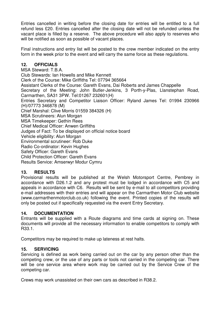Entries cancelled in writing before the closing date for entries will be entitled to a full refund less £20. Entries cancelled after the closing date will not be refunded unless the vacant place is filled by a reserve. The above procedure will also apply to reserves who will be notified as soon as possible of vacant places.

Final instructions and entry list will be posted to the crew member indicated on the entry form in the week prior to the event and will carry the same force as these regulations.

#### **12. OFFICIALS**

MSA Steward: T.B.A. Club Stewards: Ian Howells and Mike Kennett Clerk of the Course: Mike Griffiths Tel: 07794 365664 Assistant Clerks of the Course: Gareth Evans, Dai Roberts and James Chappelle Secretary of the Meeting: John Butler-Jenkins, 3 Porth-y-Plas, Llanstephan Road, Carmarthen, SA31 3PW. Tel:01267 232601(H) Entries Secretary and Competitor Liaison Officer: Ryland James Tel: 01994 230966 (H)/07773 346878 (M) Chief Marshal: Clive Morris 01559 384326 (H) MSA Scrutineers: Alun Morgan MSA Timekeeper: Gethin Rees Chief Medical Officer: Anwen Griffiths Judges of Fact: To be displayed on official notice board Vehicle eligibility: Alun Morgan Environmental scrutineer: Rob Duke Radio Co-ordinator: Kevin Hughes Safety Officer: Gareth Evans Child Protection Officer: Gareth Evans Results Service: Amserwyr Modur Cymru

#### **13. RESULTS**

Provisional results will be published at the Welsh Motorsport Centre, Pembrey in accordance with D26.1.2 and any protest must be lodged in accordance with C5 and appeals in accordance with C6. Results will be sent by e-mail to all competitors providing e-mail addresses with their entries and will appear on the Carmarthen Motor Club website (www.carmarthenmotorclub.co.uk) following the event. Printed copies of the results will only be posted out if specifically requested via the event Entry Secretary.

#### **14. DOCUMENTATION**

Entrants will be supplied with a Route diagrams and time cards at signing on. These documents will provide all the necessary information to enable competitors to comply with R33.1.

Competitors may be required to make up lateness at rest halts.

#### **15. SERVICING**

Servicing is defined as work being carried out on the car by any person other than the competing crew, or the use of any parts or tools not carried in the competing car. There will be one service area where work may be carried out by the Service Crew of the competing car.

Crews may work unassisted on their own cars as described in R38.2.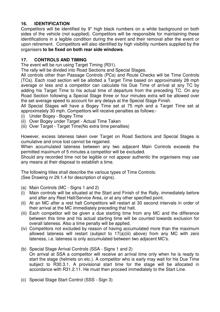#### **16. IDENTIFICATION**

Competitors will be identified by 9" high black numbers on a white background on both sides of the vehicle (not supplied). Competitors will be responsible for maintaining these identifications in a legible condition during the event and their removal after the event or upon retirement. Competitors will also identified by high visibility numbers supplied by the organisers **to be fixed on both rear side windows**.

#### **17. CONTROLS AND TIMING**

The event will be run using Target Timing (R31).

The rally will be divided into Road Sections and Special Stages.

All controls other than Passage Controls (PCs) and Route Checks will be Time Controls (TCs). Each road section will be allotted a Target Time based on approximately 28 mph average or less and a competitor can calculate his Due Time of arrival at any TC by adding his Target Time to his actual time of departure from the preceding TC. On any Road Section following a Special Stage three or four minutes extra will be allowed over the set average speed to account for any delays at the Special Stage Finish.

All Special Stages will have a Bogey Time set at 75 mph and a Target Time set at approximately 30 mph. Competitors will receive penalties as follows:-

- (i) Under Bogey Bogey Time
- (ii) Over Bogey under Target Actual Time Taken
- (iii) Over Target Target Time(No extra time penalties)

However, excess lateness taken over Target on Road Sections and Special Stages is cumulative and once lost cannot be regained.

When accumulated lateness between any two adjacent Main Controls exceeds the permitted maximum of 5 minutes a competitor will be excluded.

Should any recorded time not be legible or not appear authentic the organisers may use any means at their disposal to establish a time.

The following titles shall describe the various types of Time Controls: (See Drawing nr 29.1.4 for description of signs).

- (a) Main Controls (MC Signs 1 and 2)
- (i) Main controls will be situated at the Start and Finish of the Rally, immediately before and after any Rest Halt/Service Area, or at any other specified point.
- (ii) At an MC after a rest halt Competitors will restart at 30 second intervals in order of their arrival at the MC immediately preceding that halt.
- (iii) Each competitor will be given a due starting time from any MC and the difference between this time and his actual starting time will be counted towards exclusion for overall lateness. Also a time penalty will be applied.
- (iv) Competitors not excluded by reason of having accumulated more than the maximum allowed lateness will restart (subject to 17(a)(iii) above) from any MC with zero lateness, i.e. lateness is only accumulated between two adjacent MC's.
- (b) Special Stage Arrival Controls (SSA Signs 1 and 2) On arrival at SSA a competitor will receive an arrival time only when he is ready to start the stage (helmets on etc.). A competitor who is early may wait for his Due Time subject to R30.3.1. A provisional start time for the stage will be allocated in accordance with R31.2.11. He must then proceed immediately to the Start Line.
- (c) Special Stage Start Control (SSS Sign 3)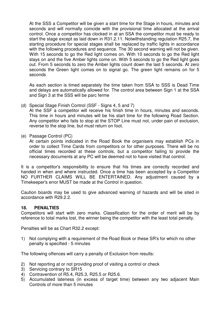At the SSS a Competitor will be given a start time for the Stage in hours, minutes and seconds and will normally coincide with the provisional time allocated at the arrival control. Once a competitor has clocked in at an SSA the competitor must be ready to start the stage except as laid down in R31.2.11. Notwithstanding regulation R25.7, the starting procedure for special stages shall be replaced by traffic lights in accordance with the following procedures and sequence. The 30 second warning will not be given. With 15 seconds to go the Red light comes on. With 10 seconds to go the Red light stays on and the five Amber lights come on. With 5 seconds to go the Red light goes out. From 5 seconds to zero the Amber lights count down the last 5 seconds. At zero seconds the Green light comes on to signal go. The green light remains on for 5 seconds

 As each section is timed separately the time taken from SSA to SSS is Dead Time and delays are automatically allowed for. The control area between Sign 1 at the SSA and Sign 3 at the SSS will be parc ferme

(d) Special Stage Finish Control (SSF - Signs 4, 5 and 7)

 At the SSF a competitor will receive his finish time in hours, minutes and seconds. This time in hours and minutes will be his start time for the following Road Section. Any competitor who fails to stop at the STOP Line must not, under pain of exclusion, reverse to the stop line, but must return on foot.

(e) Passage Control (PC)

 At certain points indicated in the Road Book the organisers may establish PCs in order to collect Time Cards from competitors or for other purposes. There will be no official times recorded at these controls, but a competitor failing to provide the necessary documents at any PC will be deemed not to have visited that control.

It is a competitor's responsibility to ensure that his times are correctly recorded and handed in when and where instructed. Once a time has been accepted by a Competitor NO FURTHER CLAIMS WILL BE ENTERTAINED. Any adjustment caused by a Timekeeper's error MUST be made at the Control in question.

Caution boards may be used to give advanced warning of hazards and will be sited in accordance with R29.2.2.

#### **18. PENALTIES**

Competitors will start with zero marks. Classification for the order of merit will be by reference to total marks lost, the winner being the competitor with the least total penalty.

Penalties will be as Chart R32.2 except:

1) Not complying with a requirement of the Road Book or these SR's for which no other penalty is specified - 5 minutes

The following offences will carry a penalty of Exclusion from results:

- 2) Not reporting at or not providing proof of visiting a control or check
- 3) Servicing contrary to SR15
- 4) Contravention of R5.4, R25.3, R25.5 or R25.6.
- 5) Accumulated lateness (in excess of target time) between any two adjacent Main Controls of more than 5 minutes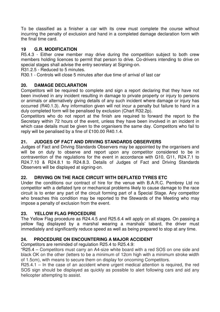To be classified as a finisher a car with its crew must complete the course without incurring the penalty of exclusion and hand in a completed damage declaration form with the final time card.

#### **19 G.R. MODIFICATION**

R5.4.3 - Either crew member may drive during the competition subject to both crew members holding licences to permit that person to drive. Co-drivers intending to drive on special stages shall advise the entry secretary at Signing-on.

R31.2.5 - Reduced to 5 minutes.

R30.1 - Controls will close 5 minutes after due time of arrival of last car

#### **20. DAMAGE DECLARATION**

Competitors will be required to complete and sign a report declaring that they have not been involved in any incident resulting in damage to private property or injury to persons or animals or alternatively giving details of any such incident where damage or injury has occurred (R40.1.3). Any information given will not incur a penalty but failure to hand in a duly completed form will be penalised by exclusion (Chart R32.2p).

Competitors who do not report at the finish are required to forward the report to the Secretary within 72 hours of the event, unless they have been involved in an incident in which case details must be given to the organisers the same day. Competitors who fail to reply will be penalised by a fine of £100.00 R40.1.4.

#### **21. JUDGES OF FACT AND DRIVING STANDARDS OBSERVERS**

Judges of Fact and Driving Standards Observers may be appointed by the organisers and will be on duty to observe and report upon any competitor considered to be in contravention of the regulations for the event in accordance with G10, G11, R24.7.1 to R24.7.10 & R24.8.1 to R24.8.3. Details of Judges of Fact and Driving Standards Observers will be displayed at signing-on.

#### **22. DRIVING ON THE RACE CIRCUIT WITH DEFLATED TYRES ETC**

Under the conditions our contract of hire for the venue with B.A.R.C. Pembrey Ltd no competitor with a deflated tyre or mechanical problems likely to cause damage to the race circuit is to enter any part of the circuit forming part of a Special Stage. Any competitor who breaches this condition may be reported to the Stewards of the Meeting who may impose a penalty of exclusion from the event.

#### **23. YELLOW FLAG PROCEDURE**

The Yellow Flag procedure as R24.4.5 and R25.6.4 will apply on all stages. On passing a yellow flag displayed by a marshal wearing a marshals' tabard, the driver must immediately and significantly reduce speed as well as being prepared to stop at any time.

#### **24. PROCEDURE ON ENCOUNTERING A MAJOR ACCIDENT**

Competitors are reminded of regulation R25.4 to R25.4.9:

"R25.4 – Competitors must carry an A4-size white board with a red SOS on one side and black OK on the other (letters to be a minimum of 12cm high with a minimum stroke width of 1.5cm), with means to secure them on display for oncoming Competitors.

R25.4.1 – In the case of an accident where urgent medical attention is required, the red SOS sign should be displayed as quickly as possible to alert following cars and aid any helicopter attempting to assist.